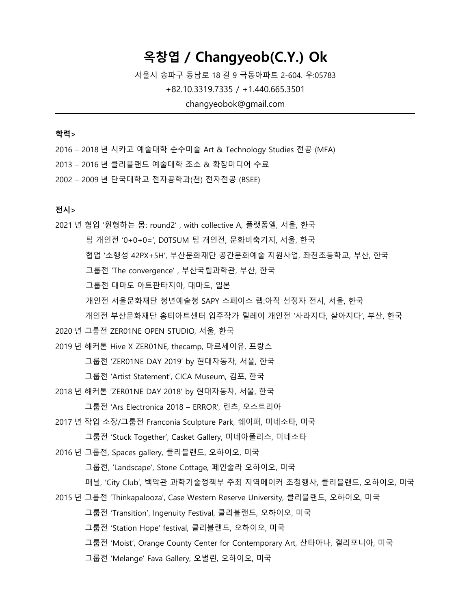# **옥창엽 / Changyeob(C.Y.) Ok**

서울시 송파구 동남로 18 길 9 극동아파트 2-604. 우:05783

+82.10.3319.7335 / +1.440.665.3501

changyeobok@gmail.com

## **학력>**

2016 – 2018 년 시카고 예술대학 순수미술 Art & Technology Studies 전공 (MFA) 2013 – 2016 년 클리블랜드 예술대학 조소 & 확장미디어 수료 2002 – 2009 년 단국대학교 전자공학과(천) 전자전공 (BSEE)

### **전시>**

2021 년 협업 '원형하는 몸: round2' , with collective A, 플랫폼엘, 서울, 한국 팀 개인전 '0+0+0=', D0TSUM 팀 개인전, 문화비축기지, 서울, 한국 협업 '소행성 42PX+5H', 부산문화재단 공간문화예술 지원사업, 좌천초등학교, 부산, 한국 그룹전 'The convergence' , 부산국립과학관, 부산, 한국 그룹전 대마도 아트판타지아, 대마도, 일본 개인전 서울문화재단 청년예술청 SAPY 스페이스 랩:아직 선정자 전시, 서울, 한국 개인전 부산문화재단 홍티아트센터 입주작가 릴레이 개인전 '사라지다, 살아지다', 부산, 한국 2020 년 그룹전 ZER01NE OPEN STUDIO, 서울, 한국 2019 년 해커톤 Hive X ZER01NE, thecamp, 마르세이유, 프랑스 그룹전 'ZER01NE DAY 2019' by 현대자동차, 서울, 한국 그룹전 'Artist Statement', CICA Museum, 김포, 한국 2018 년 해커톤 'ZER01NE DAY 2018' by 현대자동차, 서울, 한국 그룹전 'Ars Electronica 2018 – ERROR', 린츠, 오스트리아 2017 년 작업 소장/그룹전 Franconia Sculpture Park, 쉐이퍼, 미네소타, 미국 그룹전 'Stuck Together', Casket Gallery, 미네아폴리스, 미네소타 2016 년 그룹전, Spaces gallery, 클리블랜드, 오하이오, 미국 그룹전, 'Landscape', Stone Cottage, 페인술라 오하이오, 미국 패널, 'City Club', 백악관 과학기술정책부 주최 지역메이커 초청행사, 클리블랜드, 오하이오, 미국 2015 년 그룹전 'Thinkapalooza', Case Western Reserve University, 클리블랜드, 오하이오, 미국 그룹전 'Transition', Ingenuity Festival, 클리블랜드, 오하이오, 미국 그룹전 'Station Hope' festival, 클리블랜드, 오하이오, 미국 그룹전 'Moist', Orange County Center for Contemporary Art, 산타아나, 캘리포니아, 미국 그룹전 'Melange' Fava Gallery, 오벌린, 오하이오, 미국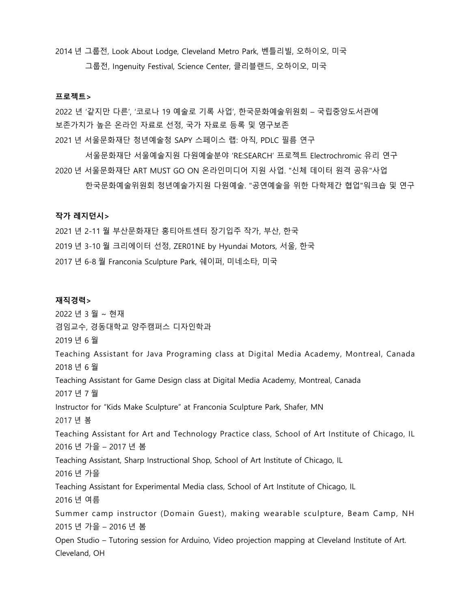2014 년 그룹전, Look About Lodge, Cleveland Metro Park, 벤틀리빌, 오하이오, 미국 그룹전, Ingenuity Festival, Science Center, 클리블랜드, 오하이오, 미국

#### **프로젝트>**

2022 년 '같지만 다른', '코로나 19 예술로 기록 사업', 한국문화예술위원회 – 국립중앙도서관에 보존가치가 높은 온라인 자료로 선정, 국가 자료로 등록 및 영구보존 2021 년 서울문화재단 청년예술청 SAPY 스페이스 랩: 아직, PDLC 필름 연구

 서울문화재단 서울예술지원 다원예술분야 'RE:SEARCH' 프로젝트 Electrochromic 유리 연구 2020 년 서울문화재단 ART MUST GO ON 온라인미디어 지원 사업. "신체 데이터 원격 공유"사업

한국문화예술위원회 청년예술가지원 다원예술. "공연예술을 위한 다학제간 협업"워크숍 및 연구

#### **작가 레지던시>**

2021 년 2-11 월 부산문화재단 홍티아트센터 장기입주 작가, 부산, 한국 2019 년 3-10 월 크리에이터 선정, ZER01NE by Hyundai Motors, 서울, 한국 2017 년 6-8 월 Franconia Sculpture Park, 쉐이퍼, 미네소타, 미국

#### **재직경력>**

2022 년 3 월 ~ 현재 겸임교수, 경동대학교 양주캠퍼스 디자인학과 2019 년 6 월 Teaching Assistant for Java Programing class at Digital Media Academy, Montreal, Canada 2018 년 6 월 Teaching Assistant for Game Design class at Digital Media Academy, Montreal, Canada 2017 년 7 월 Instructor for "Kids Make Sculpture" at Franconia Sculpture Park, Shafer, MN 2017 년 봄 Teaching Assistant for Art and Technology Practice class, School of Art Institute of Chicago, IL 2016 년 가을 – 2017 년 봄 Teaching Assistant, Sharp Instructional Shop, School of Art Institute of Chicago, IL 2016 년 가을 Teaching Assistant for Experimental Media class, School of Art Institute of Chicago, IL 2016 년 여름 Summer camp instructor (Domain Guest), making wearable sculpture, Beam Camp, NH 2015 년 가을 – 2016 년 봄 Open Studio – Tutoring session for Arduino, Video projection mapping at Cleveland Institute of Art. Cleveland, OH